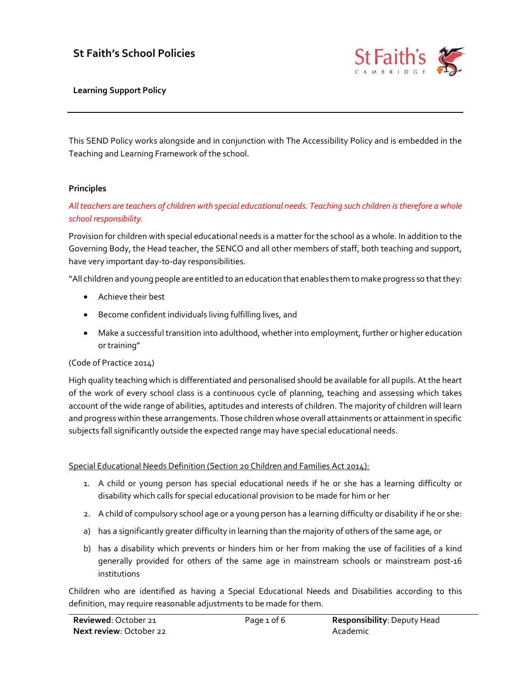# St Faith's School Policies



Learning Support Policy

This SEND Policy works alongside and in conjunction with The Accessibility Policy and is embedded in the Teaching and Learning Framework of the school.

#### Principles

All teachers are teachers of children with special educational needs. Teaching such children is therefore a whole school responsibility.

Provision for children with special educational needs is a matter for the school as a whole. In addition to the Governing Body, the Head teacher, the SENCO and all other members of staff, both teaching and support, have very important day-to-day responsibilities.

"All children and young people are entitled to an education that enables them to make progress so that they:

- Achieve their best
- Become confident individuals living fulfilling lives, and
- Make a successful transition into adulthood, whether into employment, further or higher education or training"

#### (Code of Practice 2014)

High quality teaching which is differentiated and personalised should be available for all pupils. At the heart of the work of every school class is a continuous cycle of planning, teaching and assessing which takes account of the wide range of abilities, aptitudes and interests of children. The majority of children will learn and progress within these arrangements. Those children whose overall attainments or attainment in specific subjects fall significantly outside the expected range may have special educational needs.

#### Special Educational Needs Definition (Section 20 Children and Families Act 2014):

- 1. A child or young person has special educational needs if he or she has a learning difficulty or disability which calls for special educational provision to be made for him or her
- 2. A child of compulsory school age or a young person has a learning difficulty or disability if he or she:
- a) has a significantly greater difficulty in learning than the majority of others of the same age, or
- b) has a disability which prevents or hinders him or her from making the use of facilities of a kind generally provided for others of the same age in mainstream schools or mainstream post-16 institutions

Children who are identified as having a Special Educational Needs and Disabilities according to this definition, may require reasonable adjustments to be made for them.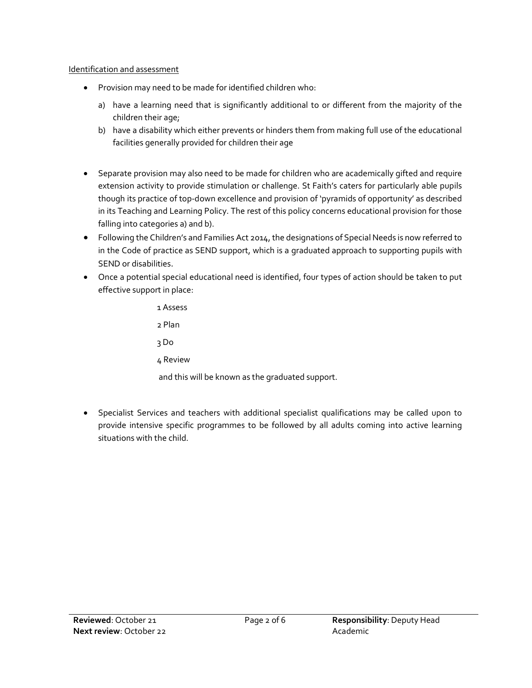### Identification and assessment

- Provision may need to be made for identified children who:
	- a) have a learning need that is significantly additional to or different from the majority of the children their age;
	- b) have a disability which either prevents or hinders them from making full use of the educational facilities generally provided for children their age
- Separate provision may also need to be made for children who are academically gifted and require extension activity to provide stimulation or challenge. St Faith's caters for particularly able pupils though its practice of top-down excellence and provision of 'pyramids of opportunity' as described in its Teaching and Learning Policy. The rest of this policy concerns educational provision for those falling into categories a) and b).
- Following the Children's and Families Act 2014, the designations of Special Needs is now referred to in the Code of practice as SEND support, which is a graduated approach to supporting pupils with SEND or disabilities.
- Once a potential special educational need is identified, four types of action should be taken to put effective support in place:

1 Assess 2 Plan 3 Do 4 Review and this will be known as the graduated support.

• Specialist Services and teachers with additional specialist qualifications may be called upon to provide intensive specific programmes to be followed by all adults coming into active learning situations with the child.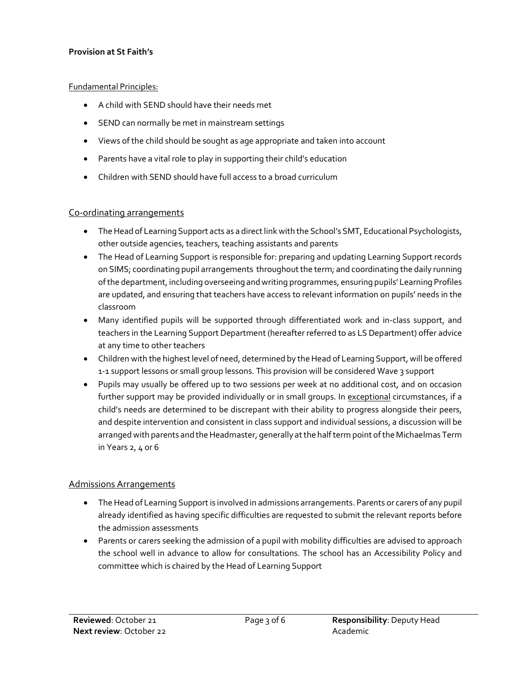#### Provision at St Faith's

#### Fundamental Principles:

- A child with SEND should have their needs met
- SEND can normally be met in mainstream settings
- Views of the child should be sought as age appropriate and taken into account
- Parents have a vital role to play in supporting their child's education
- Children with SEND should have full access to a broad curriculum

### Co-ordinating arrangements

- The Head of Learning Support acts as a direct link with the School's SMT, Educational Psychologists, other outside agencies, teachers, teaching assistants and parents
- The Head of Learning Support is responsible for: preparing and updating Learning Support records on SIMS; coordinating pupil arrangements throughout the term; and coordinating the daily running of the department, including overseeing and writing programmes, ensuring pupils' Learning Profiles are updated, and ensuring that teachers have access to relevant information on pupils' needs in the classroom
- Many identified pupils will be supported through differentiated work and in-class support, and teachers in the Learning Support Department (hereafter referred to as LS Department) offer advice at any time to other teachers
- Children with the highest level of need, determined by the Head of Learning Support, will be offered 1-1 support lessons or small group lessons. This provision will be considered Wave 3 support
- Pupils may usually be offered up to two sessions per week at no additional cost, and on occasion further support may be provided individually or in small groups. In exceptional circumstances, if a child's needs are determined to be discrepant with their ability to progress alongside their peers, and despite intervention and consistent in class support and individual sessions, a discussion will be arranged with parents and the Headmaster, generally at the half term point of the Michaelmas Term in Years 2, 4 or 6

### Admissions Arrangements

- The Head of Learning Support is involved in admissions arrangements. Parents or carers of any pupil already identified as having specific difficulties are requested to submit the relevant reports before the admission assessments
- Parents or carers seeking the admission of a pupil with mobility difficulties are advised to approach the school well in advance to allow for consultations. The school has an Accessibility Policy and committee which is chaired by the Head of Learning Support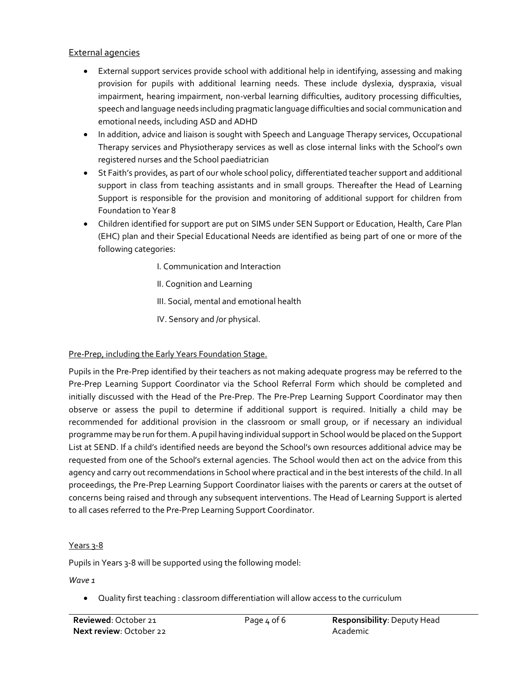### External agencies

- External support services provide school with additional help in identifying, assessing and making provision for pupils with additional learning needs. These include dyslexia, dyspraxia, visual impairment, hearing impairment, non-verbal learning difficulties, auditory processing difficulties, speech and language needs including pragmatic language difficulties and social communication and emotional needs, including ASD and ADHD
- In addition, advice and liaison is sought with Speech and Language Therapy services, Occupational Therapy services and Physiotherapy services as well as close internal links with the School's own registered nurses and the School paediatrician
- St Faith's provides, as part of our whole school policy, differentiated teacher support and additional support in class from teaching assistants and in small groups. Thereafter the Head of Learning Support is responsible for the provision and monitoring of additional support for children from Foundation to Year 8
- Children identified for support are put on SIMS under SEN Support or Education, Health, Care Plan (EHC) plan and their Special Educational Needs are identified as being part of one or more of the following categories:
	- I. Communication and Interaction
	- II. Cognition and Learning
	- III. Social, mental and emotional health
	- IV. Sensory and /or physical.

### Pre-Prep, including the Early Years Foundation Stage.

Pupils in the Pre-Prep identified by their teachers as not making adequate progress may be referred to the Pre-Prep Learning Support Coordinator via the School Referral Form which should be completed and initially discussed with the Head of the Pre-Prep. The Pre-Prep Learning Support Coordinator may then observe or assess the pupil to determine if additional support is required. Initially a child may be recommended for additional provision in the classroom or small group, or if necessary an individual programme may be run for them. A pupil having individual support in School would be placed on the Support List at SEND. If a child's identified needs are beyond the School's own resources additional advice may be requested from one of the School's external agencies. The School would then act on the advice from this agency and carry out recommendations in School where practical and in the best interests of the child. In all proceedings, the Pre-Prep Learning Support Coordinator liaises with the parents or carers at the outset of concerns being raised and through any subsequent interventions. The Head of Learning Support is alerted to all cases referred to the Pre-Prep Learning Support Coordinator.

### Years 3-8

Pupils in Years 3-8 will be supported using the following model:

Wave 1

Quality first teaching : classroom differentiation will allow access to the curriculum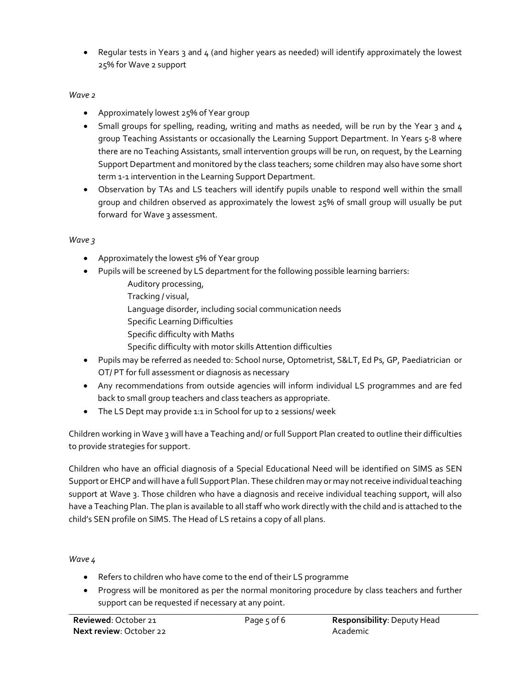• Regular tests in Years 3 and 4 (and higher years as needed) will identify approximately the lowest 25% for Wave 2 support

### Wave<sub>2</sub>

- Approximately lowest 25% of Year group
- $\bullet$  Small groups for spelling, reading, writing and maths as needed, will be run by the Year 3 and 4 group Teaching Assistants or occasionally the Learning Support Department. In Years 5-8 where there are no Teaching Assistants, small intervention groups will be run, on request, by the Learning Support Department and monitored by the class teachers; some children may also have some short term 1-1 intervention in the Learning Support Department.
- Observation by TAs and LS teachers will identify pupils unable to respond well within the small group and children observed as approximately the lowest 25% of small group will usually be put forward for Wave 3 assessment.

### Wave 3

- Approximately the lowest 5% of Year group
- Pupils will be screened by LS department for the following possible learning barriers:
	- Auditory processing,
	- Tracking / visual,
	- Language disorder, including social communication needs
	- Specific Learning Difficulties
	- Specific difficulty with Maths
	- Specific difficulty with motor skills Attention difficulties
- . Pupils may be referred as needed to: School nurse, Optometrist, S&LT, Ed Ps, GP, Paediatrician or OT/ PT for full assessment or diagnosis as necessary
- Any recommendations from outside agencies will inform individual LS programmes and are fed back to small group teachers and class teachers as appropriate.
- The LS Dept may provide 1:1 in School for up to 2 sessions/ week

Children working in Wave 3 will have a Teaching and/ or full Support Plan created to outline their difficulties to provide strategies for support.

Children who have an official diagnosis of a Special Educational Need will be identified on SIMS as SEN Support or EHCP and will have a full Support Plan. These children may or may not receive individual teaching support at Wave 3. Those children who have a diagnosis and receive individual teaching support, will also have a Teaching Plan. The plan is available to all staff who work directly with the child and is attached to the child's SEN profile on SIMS. The Head of LS retains a copy of all plans.

### Wave 4

- Refers to children who have come to the end of their LS programme
- Progress will be monitored as per the normal monitoring procedure by class teachers and further support can be requested if necessary at any point.